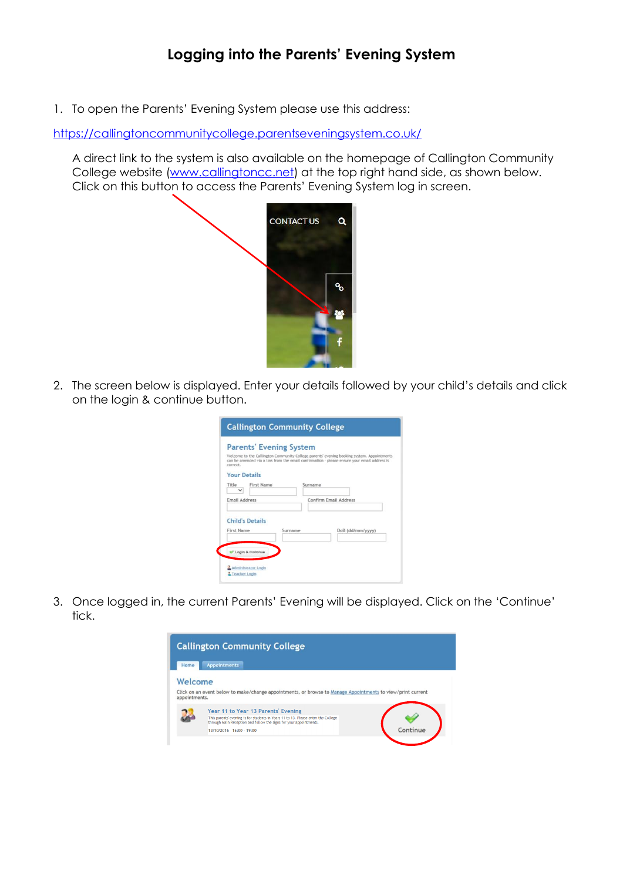## **Logging into the Parents' Evening System**

1. To open the Parents' Evening System please use this address:

<https://callingtoncommunitycollege.parentseveningsystem.co.uk/>

A direct link to the system is also available on the homepage of Callington Community College website [\(www.callingtoncc.net\)](http://www.callingtoncc.net/) at the top right hand side, as shown below. Click on this button to access the Parents' Evening System log in screen.



2. The screen below is displayed. Enter your details followed by your child's details and click on the login & continue button.

| correct.            | <b>Parents' Evening System</b> |         |         | Welcome to the Callington Community College parents' evening booking system. Appointments<br>can be amended via a link from the email confirmation - please ensure your email address is |
|---------------------|--------------------------------|---------|---------|------------------------------------------------------------------------------------------------------------------------------------------------------------------------------------------|
| <b>Your Details</b> |                                |         |         |                                                                                                                                                                                          |
| Title               | First Name                     |         | Surname |                                                                                                                                                                                          |
| Email Address       |                                |         |         | Confirm Email Address                                                                                                                                                                    |
|                     | <b>Child's Details</b>         |         |         |                                                                                                                                                                                          |
| First Name          |                                | Surname |         | DoB (dd/mm/yyyy)                                                                                                                                                                         |
|                     |                                |         |         |                                                                                                                                                                                          |

3. Once logged in, the current Parents' Evening will be displayed. Click on the 'Continue' tick.

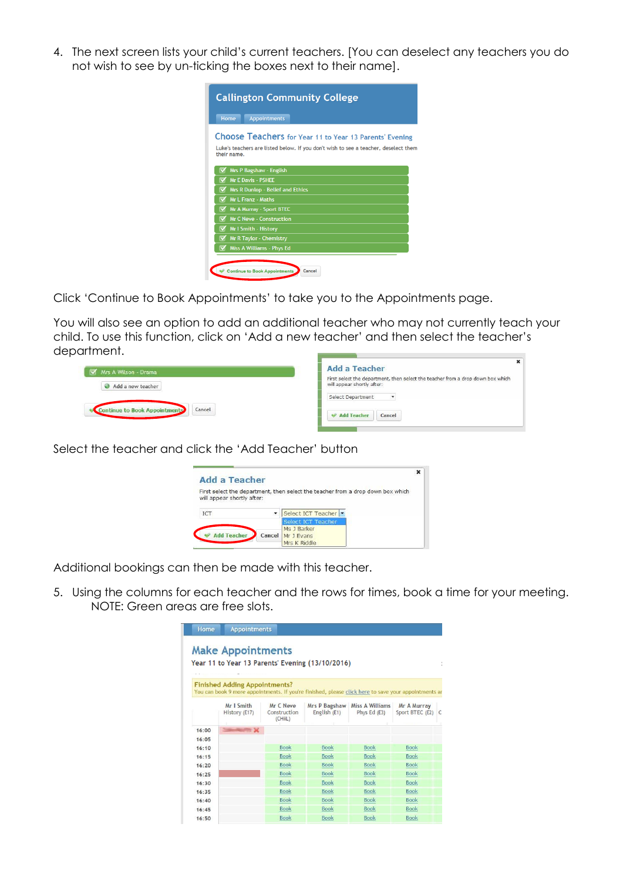4. The next screen lists your child's current teachers. [You can deselect any teachers you do not wish to see by un-ticking the boxes next to their name].

| <b>Callington Community College</b>                                                                                                                           |
|---------------------------------------------------------------------------------------------------------------------------------------------------------------|
| <b>Home</b><br><b>Appointments</b>                                                                                                                            |
| Choose Teachers for Year 11 to Year 13 Parents' Evening<br>Luke's teachers are listed below. If you don't wish to see a teacher, deselect them<br>their name. |
| Mrs P Bagshaw - English<br><b>Mr E Davis - PSHEE</b>                                                                                                          |
| <b>Mrs R Dunlop - Belief and Ethics</b>                                                                                                                       |
| <b>Mr L Franz - Maths</b>                                                                                                                                     |
| Mr A Murray - Sport BTEC                                                                                                                                      |
| <b>Mr C Neve - Construction</b>                                                                                                                               |
| <b>Mr I Smith - History</b>                                                                                                                                   |
| <b>Mr R Taylor - Chemistry</b>                                                                                                                                |
| <b>Miss A Williams - Phys Ed</b>                                                                                                                              |
| <b>Continue to Book Appointments</b><br>Cancel                                                                                                                |

Click 'Continue to Book Appointments' to take you to the Appointments page.

You will also see an option to add an additional teacher who may not currently teach your child. To use this function, click on 'Add a new teacher' and then select the teacher's department. **Contract Contract Contract** 

| Mrs A Wilson - Drama                    | <b>Add a Teacher</b>                                                                                          |
|-----------------------------------------|---------------------------------------------------------------------------------------------------------------|
| Add a new teacher                       | First select the department, then select the teacher from a drop down box which<br>will appear shortly after: |
|                                         | Select Department<br>$\blacktriangledown$                                                                     |
| Cancel<br>Continue to Book Appointments | Add Teacher<br>Cancel                                                                                         |

Select the teacher and click the 'Add Teacher' button

| <b>Add a Teacher</b>       |                          |                                                                                 |  |
|----------------------------|--------------------------|---------------------------------------------------------------------------------|--|
| will appear shortly after: |                          | First select the department, then select the teacher from a drop down box which |  |
|                            |                          |                                                                                 |  |
| <b>ICT</b>                 | $\overline{\phantom{a}}$ | Select ICT Teacher                                                              |  |
|                            |                          |                                                                                 |  |
|                            |                          | <b>Select ICT Teacher</b>                                                       |  |
|                            |                          | Ms J Barker                                                                     |  |
| <b>Add Teacher</b>         | Cancel                   | Mr J Evans                                                                      |  |

Additional bookings can then be made with this teacher.

5. Using the columns for each teacher and the rows for times, book a time for your meeting. NOTE: Green areas are free slots.

| Home      | <b>Appointments</b>                  |                                      |                                                                                                      |                                                   |                                  |  |
|-----------|--------------------------------------|--------------------------------------|------------------------------------------------------------------------------------------------------|---------------------------------------------------|----------------------------------|--|
|           | <b>Make Appointments</b>             |                                      | Year 11 to Year 13 Parents' Evening (13/10/2016).                                                    |                                                   |                                  |  |
|           | <b>Finished Adding Appointments?</b> |                                      | You can book 9 more appointments. If you're finished, please click here to save your appointments ar |                                                   |                                  |  |
|           | Mr I Smith<br>History (E17)          | Mr C Neve<br>Construction<br>(CHiiL) | English (E1)                                                                                         | Mrs P Bagshaw   Miss A Williams<br>Phys Ed $(E3)$ | Mr A Murray<br>Sport BTEC (E2) C |  |
| 16:00     | $= 32$                               |                                      |                                                                                                      |                                                   |                                  |  |
| 16:05     |                                      |                                      |                                                                                                      |                                                   |                                  |  |
| 16:10     |                                      | <b>Book</b>                          | <b>Book</b>                                                                                          | <b>Book</b>                                       | <b>Book</b>                      |  |
| 16:15     |                                      | <b>Book</b>                          | <b>Book</b>                                                                                          | <b>Book</b>                                       | <b>Book</b>                      |  |
| $16 - 20$ |                                      | <b>Book</b>                          | <b>Book</b>                                                                                          | <b>Book</b>                                       | <b>Book</b>                      |  |
| 16:25     |                                      | <b>Book</b>                          | <b>Book</b>                                                                                          | <b>Book</b>                                       | <b>Book</b>                      |  |
| 16:30     |                                      | <b>Book</b>                          | <b>Book</b>                                                                                          | <b>Book</b>                                       | <b>Book</b>                      |  |
| 16:35     |                                      | <b>Book</b>                          | <b>Book</b>                                                                                          | <b>Book</b>                                       | <b>Book</b>                      |  |
| 16:40     |                                      | <b>Book</b>                          | <b>Book</b>                                                                                          | <b>Book</b>                                       | <b>Book</b>                      |  |
| 16:45     |                                      | <b>Book</b>                          | <b>Book</b>                                                                                          | <b>Book</b>                                       | <b>Book</b>                      |  |
| 16:50     |                                      | <b>Book</b>                          | Book                                                                                                 | <b>Book</b>                                       | <b>Book</b>                      |  |